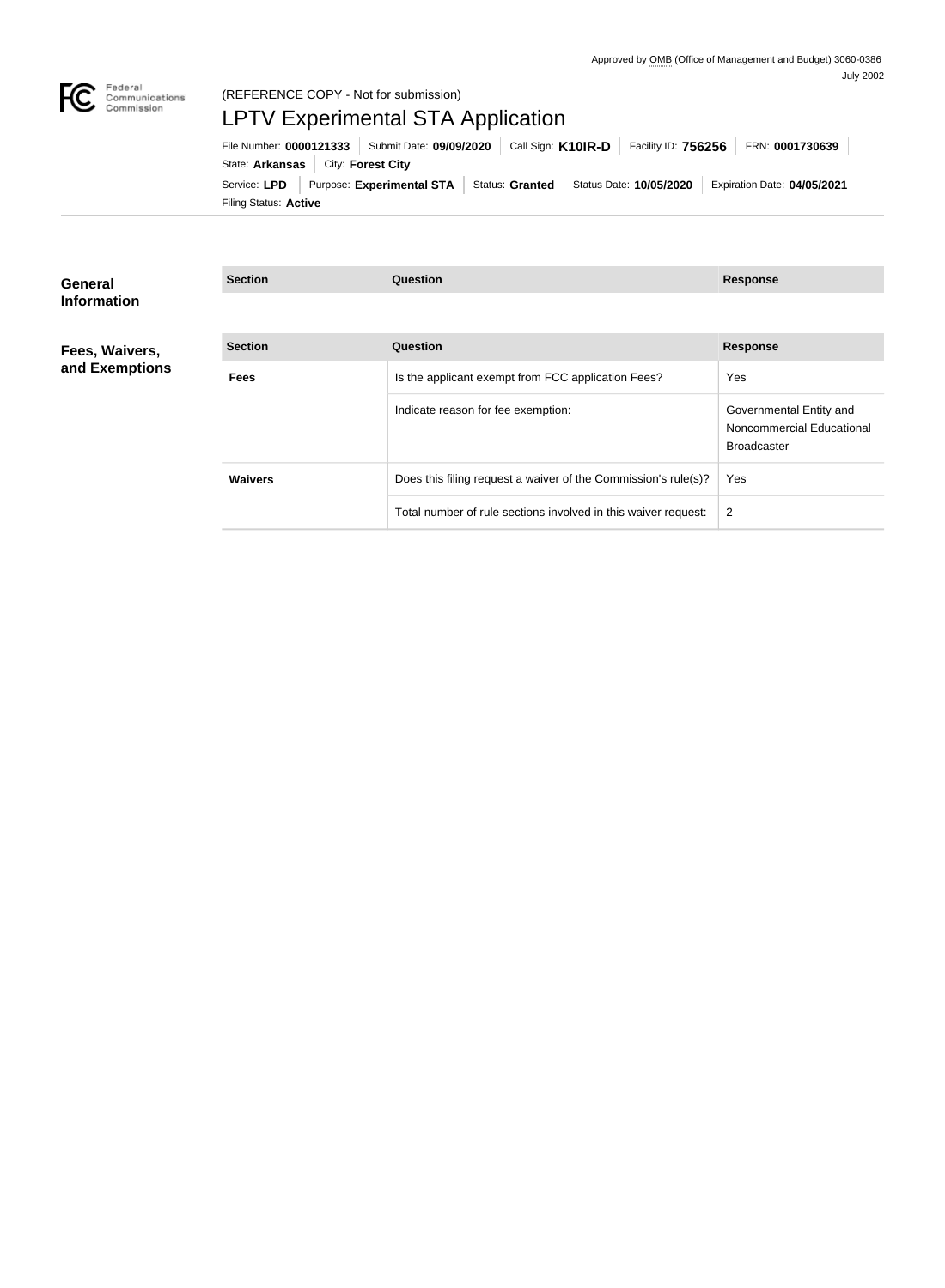

# LPTV Experimental STA Application

Filing Status: **Active** Service: LPD Purpose: Experimental STA Status: Granted Status Date: 10/05/2020 Expiration Date: 04/05/2021 State: **Arkansas** City: Forest City File Number: **0000121333** Submit Date: **09/09/2020** Call Sign: **K10IR-D** Facility ID: **756256** FRN: **0001730639**

| General<br><b>Information</b>    | <b>Section</b> | <b>Question</b>                                                |                                                                            |
|----------------------------------|----------------|----------------------------------------------------------------|----------------------------------------------------------------------------|
|                                  |                |                                                                |                                                                            |
| Fees, Waivers,<br>and Exemptions | <b>Section</b> | <b>Question</b>                                                | <b>Response</b>                                                            |
|                                  | <b>Fees</b>    | Is the applicant exempt from FCC application Fees?             | <b>Yes</b>                                                                 |
|                                  |                | Indicate reason for fee exemption:                             | Governmental Entity and<br>Noncommercial Educational<br><b>Broadcaster</b> |
|                                  | <b>Waivers</b> | Does this filing request a waiver of the Commission's rule(s)? | <b>Yes</b>                                                                 |
|                                  |                | Total number of rule sections involved in this waiver request: | $\overline{2}$                                                             |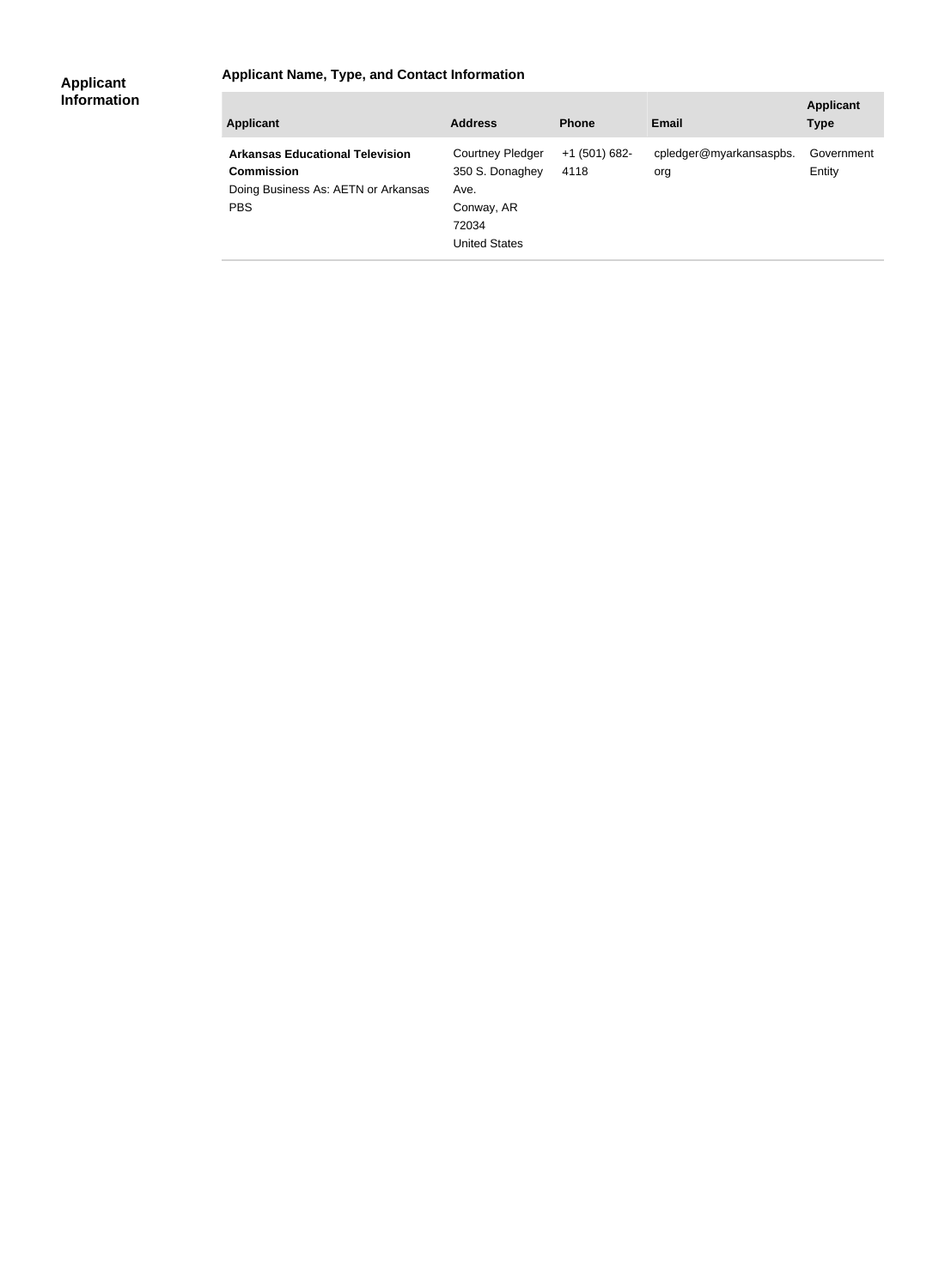## **Applicant Name, Type, and Contact Information**

#### **Applicant Information**

| <b>Applicant</b>                                                                                                 | <b>Address</b>                                                                             | <b>Phone</b>          | <b>Email</b>                   | <b>Applicant</b><br><b>Type</b> |
|------------------------------------------------------------------------------------------------------------------|--------------------------------------------------------------------------------------------|-----------------------|--------------------------------|---------------------------------|
| <b>Arkansas Educational Television</b><br><b>Commission</b><br>Doing Business As: AETN or Arkansas<br><b>PBS</b> | <b>Courtney Pledger</b><br>350 S. Donaghey<br>Ave.<br>Conway, AR<br>72034<br>United States | +1 (501) 682-<br>4118 | cpledger@myarkansaspbs.<br>org | Government<br>Entity            |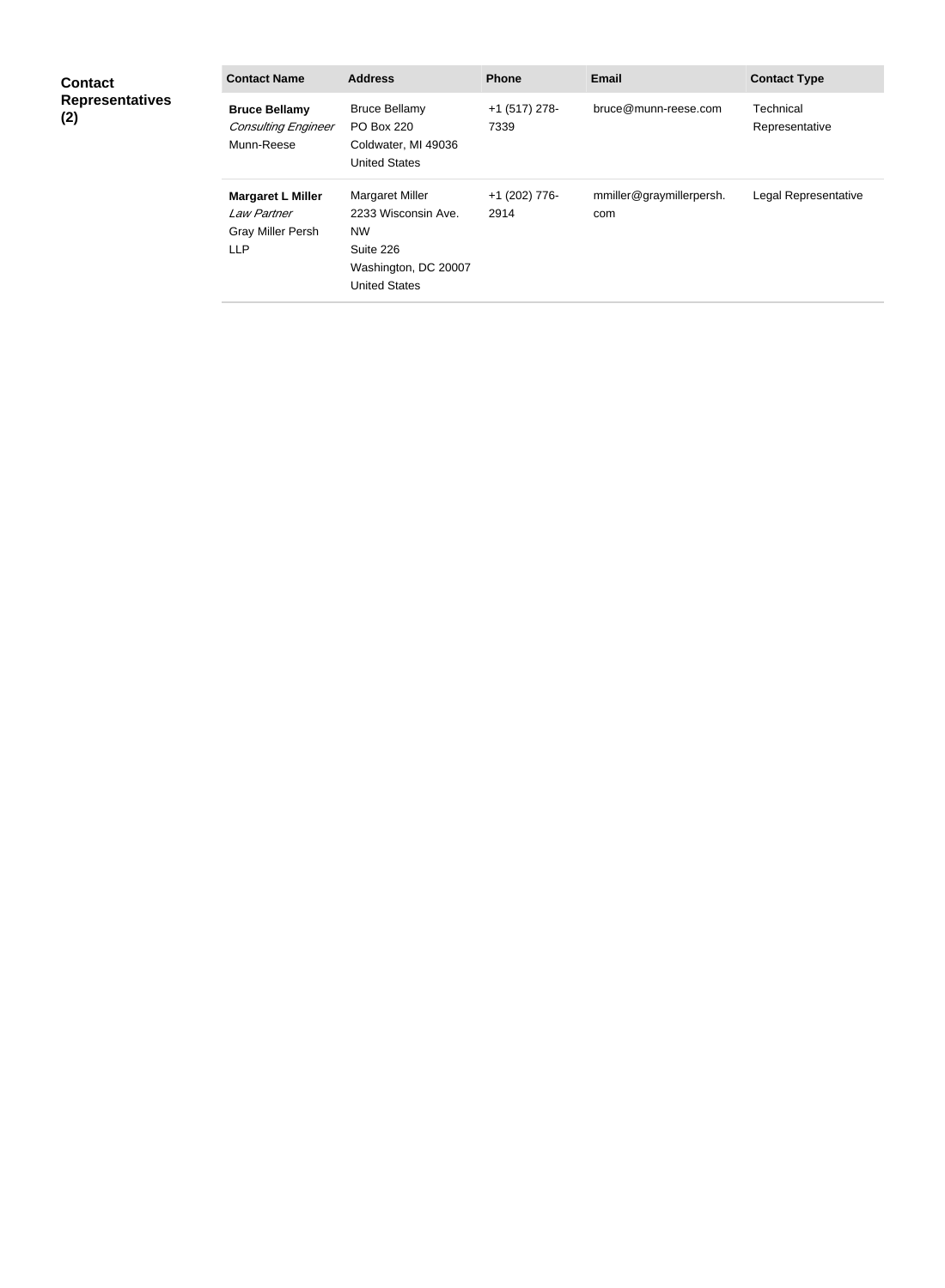| <b>Contact</b><br><b>Representatives</b><br>(2) | <b>Contact Name</b>                                                               | <b>Address</b>                                                                                                   | <b>Phone</b>          | <b>Email</b>                    | <b>Contact Type</b>         |
|-------------------------------------------------|-----------------------------------------------------------------------------------|------------------------------------------------------------------------------------------------------------------|-----------------------|---------------------------------|-----------------------------|
|                                                 | <b>Bruce Bellamy</b><br><b>Consulting Engineer</b><br>Munn-Reese                  | <b>Bruce Bellamy</b><br><b>PO Box 220</b><br>Coldwater, MI 49036<br><b>United States</b>                         | +1 (517) 278-<br>7339 | bruce@munn-reese.com            | Technical<br>Representative |
|                                                 | <b>Margaret L Miller</b><br>Law Partner<br><b>Gray Miller Persh</b><br><b>LLP</b> | Margaret Miller<br>2233 Wisconsin Ave.<br><b>NW</b><br>Suite 226<br>Washington, DC 20007<br><b>United States</b> | +1 (202) 776-<br>2914 | mmiller@graymillerpersh.<br>com | Legal Representative        |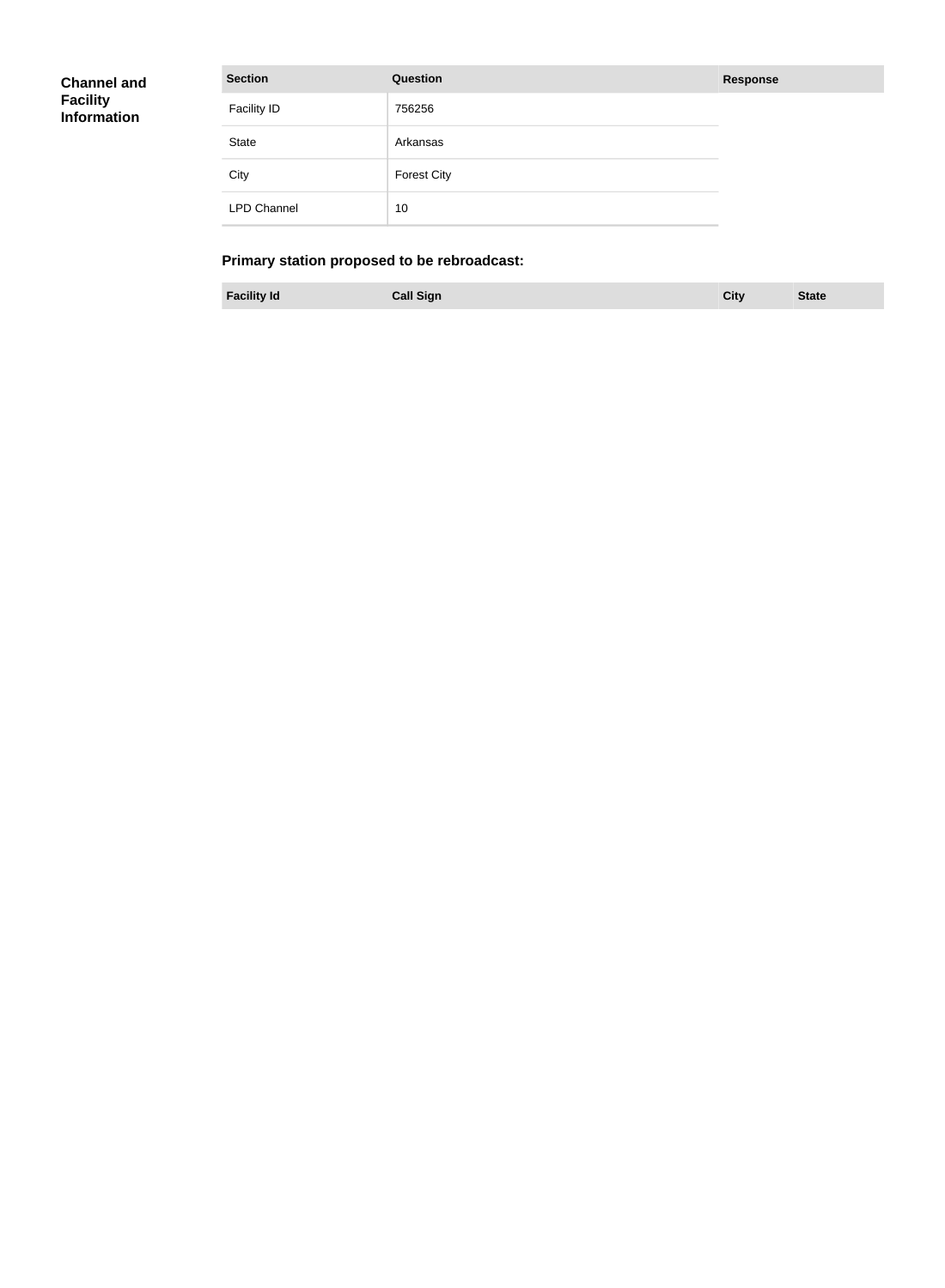| <b>Channel and</b> |  |
|--------------------|--|
| <b>Facility</b>    |  |
| <b>Information</b> |  |

| <b>Section</b>     | Question           | <b>Response</b> |
|--------------------|--------------------|-----------------|
| <b>Facility ID</b> | 756256             |                 |
| State              | Arkansas           |                 |
| City               | <b>Forest City</b> |                 |
| <b>LPD Channel</b> | 10                 |                 |

### **Primary station proposed to be rebroadcast:**

**Facility Id Call Sign City State**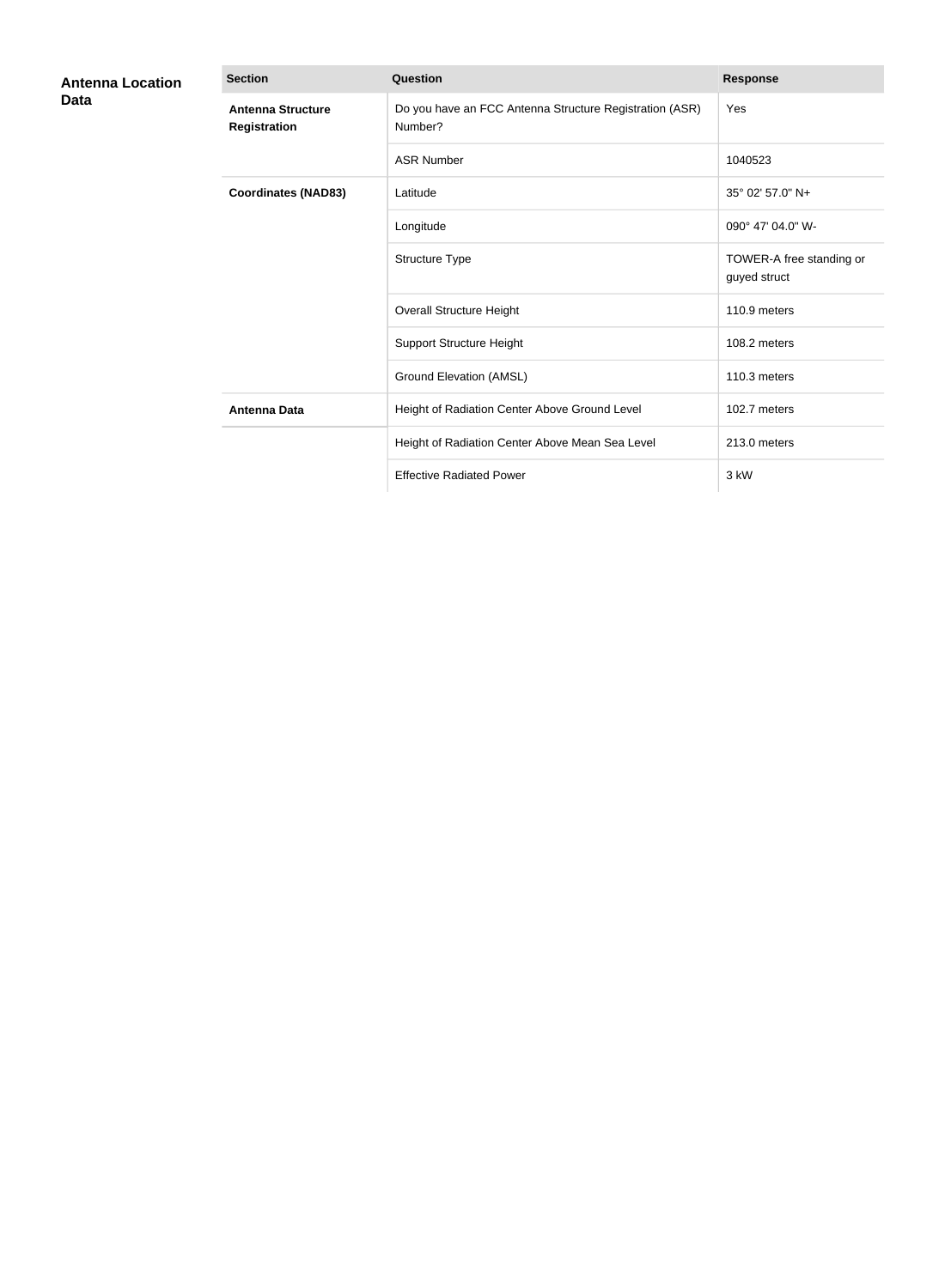| <b>Antenna Location</b><br>Data | <b>Section</b>                                  | <b>Question</b>                                                    | <b>Response</b>                          |
|---------------------------------|-------------------------------------------------|--------------------------------------------------------------------|------------------------------------------|
|                                 | <b>Antenna Structure</b><br><b>Registration</b> | Do you have an FCC Antenna Structure Registration (ASR)<br>Number? | Yes                                      |
|                                 |                                                 | <b>ASR Number</b>                                                  | 1040523                                  |
|                                 | <b>Coordinates (NAD83)</b>                      | Latitude                                                           | 35° 02′ 57.0″ N+                         |
|                                 |                                                 | Longitude                                                          | 090° 47' 04.0" W-                        |
|                                 |                                                 | Structure Type                                                     | TOWER-A free standing or<br>guyed struct |
|                                 |                                                 | <b>Overall Structure Height</b>                                    | 110.9 meters                             |
|                                 |                                                 | <b>Support Structure Height</b>                                    | 108.2 meters                             |
|                                 |                                                 | Ground Elevation (AMSL)                                            | 110.3 meters                             |
|                                 | <b>Antenna Data</b>                             | Height of Radiation Center Above Ground Level                      | 102.7 meters                             |
|                                 |                                                 | Height of Radiation Center Above Mean Sea Level                    | 213.0 meters                             |
|                                 |                                                 | <b>Effective Radiated Power</b>                                    | 3 kW                                     |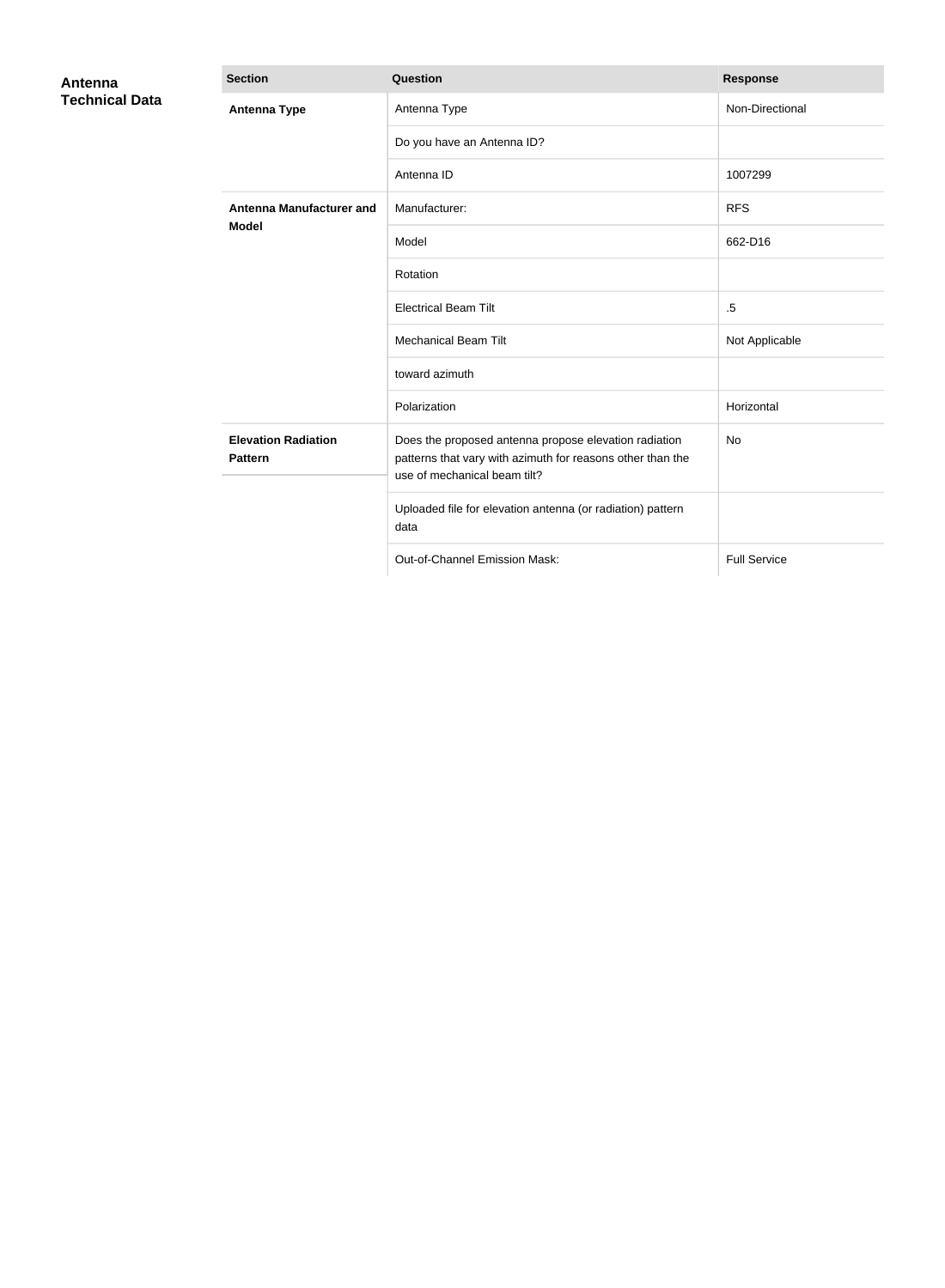| Antenna<br><b>Technical Data</b> | <b>Section</b>                               | Question                                                                                                                                            | <b>Response</b>     |
|----------------------------------|----------------------------------------------|-----------------------------------------------------------------------------------------------------------------------------------------------------|---------------------|
|                                  | <b>Antenna Type</b>                          | Antenna Type                                                                                                                                        | Non-Directional     |
|                                  |                                              | Do you have an Antenna ID?                                                                                                                          |                     |
|                                  |                                              | Antenna ID                                                                                                                                          | 1007299             |
|                                  | <b>Antenna Manufacturer and</b>              | Manufacturer:                                                                                                                                       | <b>RFS</b>          |
|                                  | <b>Model</b>                                 | Model                                                                                                                                               | 662-D16             |
|                                  |                                              | Rotation                                                                                                                                            |                     |
|                                  |                                              | <b>Electrical Beam Tilt</b>                                                                                                                         | $.5\,$              |
|                                  |                                              | <b>Mechanical Beam Tilt</b>                                                                                                                         | Not Applicable      |
|                                  |                                              | toward azimuth                                                                                                                                      |                     |
|                                  |                                              | Polarization                                                                                                                                        | Horizontal          |
|                                  | <b>Elevation Radiation</b><br><b>Pattern</b> | Does the proposed antenna propose elevation radiation<br>patterns that vary with azimuth for reasons other than the<br>use of mechanical beam tilt? | No                  |
|                                  |                                              | Uploaded file for elevation antenna (or radiation) pattern<br>data                                                                                  |                     |
|                                  |                                              | Out-of-Channel Emission Mask:                                                                                                                       | <b>Full Service</b> |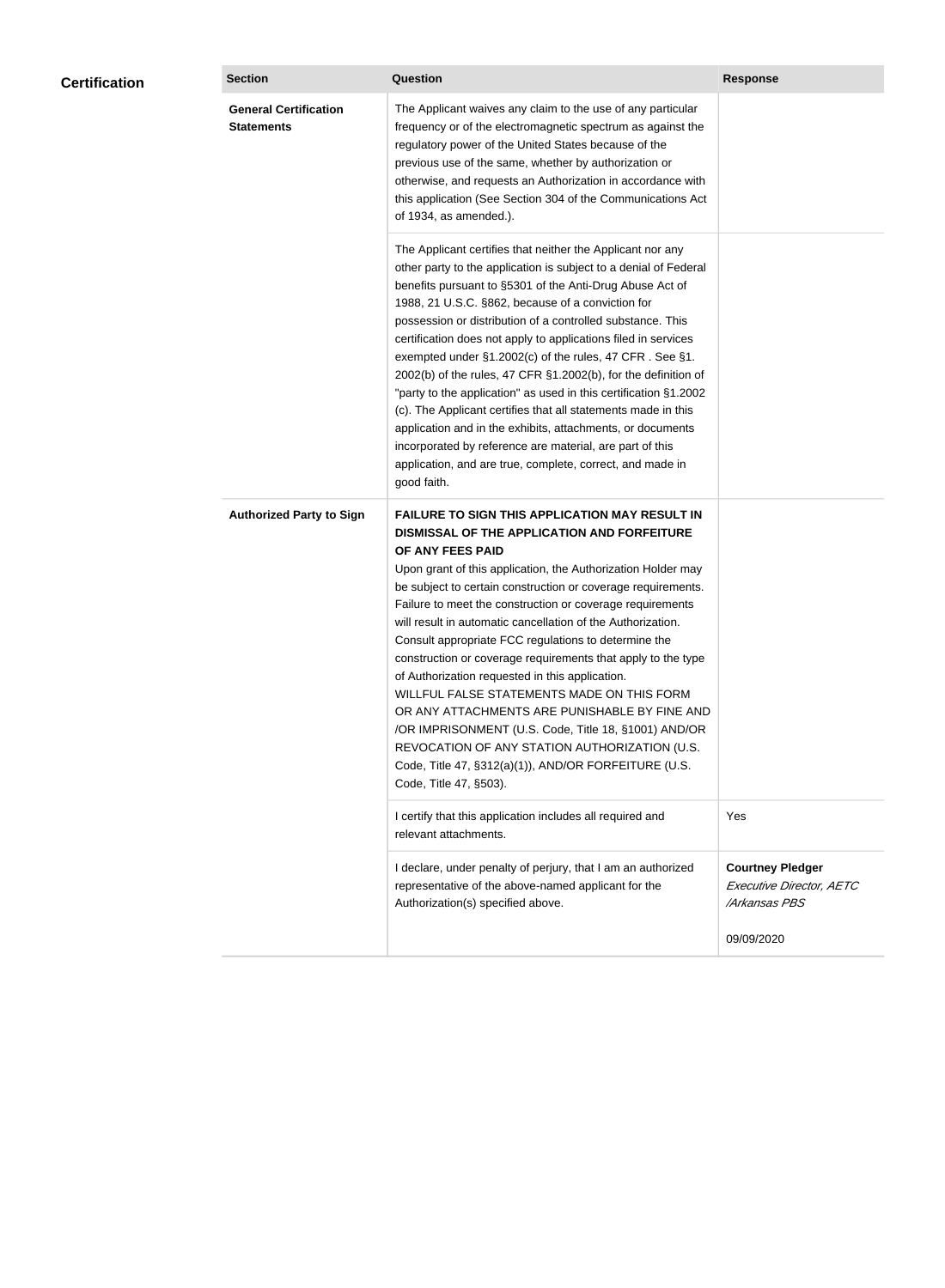| <b>Certification</b> | <b>Section</b>                                    | <b>Question</b>                                                                                                                                                                                                                                                                                                                                                                                                                                                                                                                                                                                                                                                                                                                                                                                                                                           | <b>Response</b>                                                      |
|----------------------|---------------------------------------------------|-----------------------------------------------------------------------------------------------------------------------------------------------------------------------------------------------------------------------------------------------------------------------------------------------------------------------------------------------------------------------------------------------------------------------------------------------------------------------------------------------------------------------------------------------------------------------------------------------------------------------------------------------------------------------------------------------------------------------------------------------------------------------------------------------------------------------------------------------------------|----------------------------------------------------------------------|
|                      | <b>General Certification</b><br><b>Statements</b> | The Applicant waives any claim to the use of any particular<br>frequency or of the electromagnetic spectrum as against the<br>regulatory power of the United States because of the<br>previous use of the same, whether by authorization or<br>otherwise, and requests an Authorization in accordance with<br>this application (See Section 304 of the Communications Act<br>of 1934, as amended.).                                                                                                                                                                                                                                                                                                                                                                                                                                                       |                                                                      |
|                      |                                                   | The Applicant certifies that neither the Applicant nor any<br>other party to the application is subject to a denial of Federal<br>benefits pursuant to §5301 of the Anti-Drug Abuse Act of<br>1988, 21 U.S.C. §862, because of a conviction for<br>possession or distribution of a controlled substance. This<br>certification does not apply to applications filed in services<br>exempted under §1.2002(c) of the rules, 47 CFR. See §1.<br>2002(b) of the rules, 47 CFR §1.2002(b), for the definition of<br>"party to the application" as used in this certification §1.2002<br>(c). The Applicant certifies that all statements made in this<br>application and in the exhibits, attachments, or documents<br>incorporated by reference are material, are part of this<br>application, and are true, complete, correct, and made in<br>good faith.   |                                                                      |
|                      | <b>Authorized Party to Sign</b>                   | <b>FAILURE TO SIGN THIS APPLICATION MAY RESULT IN</b><br>DISMISSAL OF THE APPLICATION AND FORFEITURE<br>OF ANY FEES PAID<br>Upon grant of this application, the Authorization Holder may<br>be subject to certain construction or coverage requirements.<br>Failure to meet the construction or coverage requirements<br>will result in automatic cancellation of the Authorization.<br>Consult appropriate FCC regulations to determine the<br>construction or coverage requirements that apply to the type<br>of Authorization requested in this application.<br>WILLFUL FALSE STATEMENTS MADE ON THIS FORM<br>OR ANY ATTACHMENTS ARE PUNISHABLE BY FINE AND<br>/OR IMPRISONMENT (U.S. Code, Title 18, §1001) AND/OR<br>REVOCATION OF ANY STATION AUTHORIZATION (U.S.<br>Code, Title 47, §312(a)(1)), AND/OR FORFEITURE (U.S.<br>Code, Title 47, §503). |                                                                      |
|                      |                                                   | I certify that this application includes all required and<br>relevant attachments.                                                                                                                                                                                                                                                                                                                                                                                                                                                                                                                                                                                                                                                                                                                                                                        | Yes                                                                  |
|                      |                                                   | I declare, under penalty of perjury, that I am an authorized<br>representative of the above-named applicant for the<br>Authorization(s) specified above.                                                                                                                                                                                                                                                                                                                                                                                                                                                                                                                                                                                                                                                                                                  | <b>Courtney Pledger</b><br>Executive Director, AETC<br>/Arkansas PBS |
|                      |                                                   |                                                                                                                                                                                                                                                                                                                                                                                                                                                                                                                                                                                                                                                                                                                                                                                                                                                           | 09/09/2020                                                           |